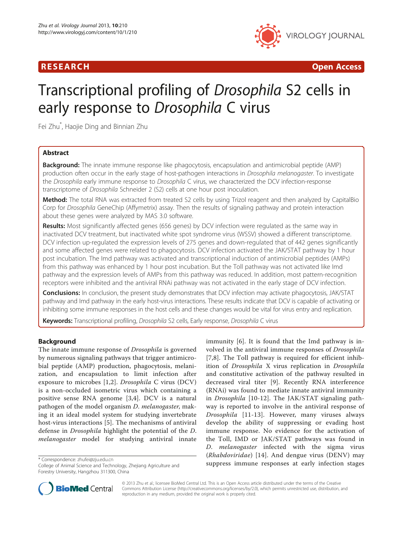

R E S EAR CH Open Access

# Transcriptional profiling of Drosophila S2 cells in early response to Drosophila C virus

Fei Zhu\* , Haojie Ding and Binnian Zhu

# Abstract

**Background:** The innate immune response like phagocytosis, encapsulation and antimicrobial peptide (AMP) production often occur in the early stage of host-pathogen interactions in Drosophila melanogaster. To investigate the Drosophila early immune response to Drosophila C virus, we characterized the DCV infection-response transcriptome of Drosophila Schneider 2 (S2) cells at one hour post inoculation.

Method: The total RNA was extracted from treated S2 cells by using Trizol reagent and then analyzed by CapitalBio Corp for Drosophila GeneChip (Affymetrix) assay. Then the results of signaling pathway and protein interaction about these genes were analyzed by MAS 3.0 software.

Results: Most significantly affected genes (656 genes) by DCV infection were regulated as the same way in inactivated DCV treatment, but inactivated white spot syndrome virus (WSSV) showed a different transcriptome. DCV infection up-regulated the expression levels of 275 genes and down-regulated that of 442 genes significantly and some affected genes were related to phagocytosis. DCV infection activated the JAK/STAT pathway by 1 hour post incubation. The Imd pathway was activated and transcriptional induction of antimicrobial peptides (AMPs) from this pathway was enhanced by 1 hour post incubation. But the Toll pathway was not activated like Imd pathway and the expression levels of AMPs from this pathway was reduced. In addition, most pattern-recognition receptors were inhibited and the antiviral RNAi pathway was not activated in the early stage of DCV infection.

Conclusions: In conclusion, the present study demonstrates that DCV infection may activate phagocytosis, JAK/STAT pathway and Imd pathway in the early host-virus interactions. These results indicate that DCV is capable of activating or inhibiting some immune responses in the host cells and these changes would be vital for virus entry and replication.

Keywords: Transcriptional profiling, Drosophila S2 cells, Early response, Drosophila C virus

# Background

The innate immune response of Drosophila is governed by numerous signaling pathways that trigger antimicrobial peptide (AMP) production, phagocytosis, melanization, and encapsulation to limit infection after exposure to microbes [[1,2](#page-7-0)]. Drosophila C virus (DCV) is a non-occluded isometric virus which containing a positive sense RNA genome [[3,4\]](#page-7-0). DCV is a natural pathogen of the model organism D. melanogaster, making it an ideal model system for studying invertebrate host-virus interactions [\[5\]](#page-7-0). The mechanisms of antiviral defense in Drosophila highlight the potential of the D. melanogaster model for studying antiviral innate

College of Animal Science and Technology, Zhejiang Agriculture and Forestry University, Hangzhou 311300, China

immunity [[6](#page-7-0)]. It is found that the Imd pathway is involved in the antiviral immune responses of Drosophila [[7,8](#page-7-0)]. The Toll pathway is required for efficient inhibition of Drosophila X virus replication in Drosophila and constitutive activation of the pathway resulted in decreased viral titer [[9](#page-7-0)]. Recently RNA interference (RNAi) was found to mediate innate antiviral immunity in Drosophila [[10-12\]](#page-7-0). The JAK/STAT signaling pathway is reported to involve in the antiviral response of Drosophila [\[11-13\]](#page-7-0). However, many viruses always develop the ability of suppressing or evading host immune response. No evidence for the activation of the Toll, IMD or JAK/STAT pathways was found in D. melanogaster infected with the sigma virus (Rhabdoviridae) [[14](#page-7-0)]. And dengue virus (DENV) may \* Correspondence: [zhufei@zju.edu.cn](mailto:zhufei@zju.edu.cn)<br>College of Animal Science and Technology Zheijang Agriculture and **Suppress immune responses at early infection stages** 



© 2013 Zhu et al.; licensee BioMed Central Ltd. This is an Open Access article distributed under the terms of the Creative Commons Attribution License [\(http://creativecommons.org/licenses/by/2.0\)](http://creativecommons.org/licenses/by/2.0), which permits unrestricted use, distribution, and reproduction in any medium, provided the original work is properly cited.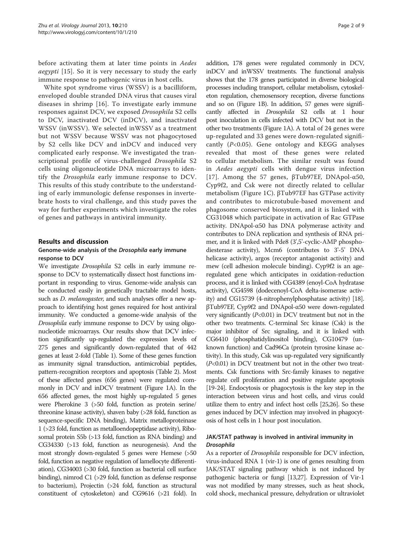before activating them at later time points in Aedes aegypti [[15](#page-7-0)]. So it is very necessary to study the early immune response to pathogenic virus in host cells.

White spot syndrome virus (WSSV) is a bacilliform, enveloped double stranded DNA virus that causes viral diseases in shrimp [[16](#page-8-0)]. To investigate early immune responses against DCV, we exposed Drosophila S2 cells to DCV, inactivated DCV (inDCV), and inactivated WSSV (inWSSV). We selected inWSSV as a treatment but not WSSV because WSSV was not phagocytosed by S2 cells like DCV and inDCV and induced very complicated early response. We investigated the transcriptional profile of virus-challenged Drosophila S2 cells using oligonucleotide DNA microarrays to identify the Drosophila early immune response to DCV. This results of this study contribute to the understanding of early immunologic defense responses in invertebrate hosts to viral challenge, and this study paves the way for further experiments which investigate the roles of genes and pathways in antiviral immunity.

#### Results and discussion

#### Genome-wide analysis of the Drosophila early immune response to DCV

We investigate Drosophila S2 cells in early immune response to DCV to systematically dissect host functions important in responding to virus. Genome-wide analysis can be conducted easily in genetically tractable model hosts, such as *D. melanogaster*, and such analyses offer a new approach to identifying host genes required for host antiviral immunity. We conducted a genome-wide analysis of the Drosophila early immune response to DCV by using oligonucleotide microarrays. Our results show that DCV infection significantly up-regulated the expression levels of 275 genes and significantly down-regulated that of 442 genes at least 2-fold (Table [1](#page-2-0)). Some of these genes function as immunity signal transduction, antimicrobial peptides, pattern-recognition receptors and apoptosis (Table [2](#page-3-0)). Most of these affected genes (656 genes) were regulated commonly in DCV and inDCV treatment (Figure [1A](#page-4-0)). In the 656 affected genes, the most highly up-regulated 5 genes were Pherokine 3 (>50 fold, function as protein serine/ threonine kinase activity), shaven baby (>28 fold, function as sequence-specific DNA binding), Matrix metalloproteinase 1 (>23 fold, function as metalloendopeptidase activity), Ribosomal protein S5b (>13 fold, function as RNA binding) and CG34330 (>13 fold, function as neurogenesis). And the most strongly down-regulated 5 genes were Hemese (>50 fold, function as negative regulation of lamellocyte differentiation), CG34003 (>30 fold, function as bacterial cell surface binding), nimrod C1 (>29 fold, function as defense response to bacterium), Projectin (>24 fold, function as structural constituent of cytoskeleton) and CG9616 (>21 fold). In

addition, 178 genes were regulated commonly in DCV, inDCV and inWSSV treatments. The functional analysis shows that the 178 genes participated in diverse biological processes including transport, cellular metabolism, cytoskeleton regulation, chemosensory reception, diverse functions and so on (Figure [1](#page-4-0)B). In addition, 57 genes were significantly affected in Drosophila S2 cells at 1 hour post inoculation in cells infected with DCV but not in the other two treatments (Figure [1](#page-4-0)A). A total of 24 genes were up-regulated and 33 genes were down-regulated significantly  $(P<0.05)$ . Gene ontology and KEGG analyses revealed that most of these genes were related to cellular metabolism. The similar result was found in Aedes aegypti cells with dengue virus infection [[17](#page-8-0)]. Among the 57 genes, βTub97EF, DNApol-α50, Cyp9f2, and Csk were not directly related to cellular metabolism (Figure [1](#page-4-0)C). βTub97EF has GTPase activity and contributes to microtubule-based movement and phagosome conserved biosystem, and it is linked with CG31048 which participate in activation of Rac GTPase activity. DNApol-α50 has DNA polymerase activity and contributes to DNA replication and synthesis of RNA primer, and it is linked with Pde8 (3',5'-cyclic-AMP phosphodiesterase activity), Mcm6 (contributes to 3'-5' DNA helicase activity), argos (receptor antagonist activity) and mew (cell adhesion molecule binding). Cyp9f2 is an ageregulated gene which anticipates in oxidation-reduction process, and it is linked with CG4389 (enoyl-CoA hydratase activity), CG4598 (dodecenoyl-CoA delta-isomerase activity) and CG15739 (4-nitrophenylphosphatase activity) [\[18](#page-8-0)]. βTub97EF, Cyp9f2 and DNApol-α50 were down-regulated very significantly  $(P<0.01)$  in DCV treatment but not in the other two treatments. C-terminal Src kinase (Csk) is the major inhibitor of Src signaling, and it is linked with CG6410 (phosphatidylinositol binding), CG10479 (unknown function) and Cad96Ca (protein tyrosine kinase activity). In this study, Csk was up-regulated very significantly  $(P<0.01)$  in DCV treatment but not in the other two treatments. Csk functions with Src-family kinases to negative regulate cell proliferation and positive regulate apoptosis [[19](#page-8-0)-[24\]](#page-8-0). Endocytosis or phagocytosis is the key step in the interaction between virus and host cells, and virus could utilize them to entry and infect host cells [\[25,26\]](#page-8-0). So these genes induced by DCV infection may involved in phagocytosis of host cells in 1 hour post inoculation.

#### JAK/STAT pathway is involved in antiviral immunity in Drosophila

As a reporter of *Drosophila* responsible for DCV infection, virus-induced RNA 1 (vir-1) is one of genes resulting from JAK/STAT signaling pathway which is not induced by pathogenic bacteria or fungi [\[13,](#page-7-0)[27](#page-8-0)]. Expression of Vir-1 was not modified by many stresses, such as heat shock, cold shock, mechanical pressure, dehydration or ultraviolet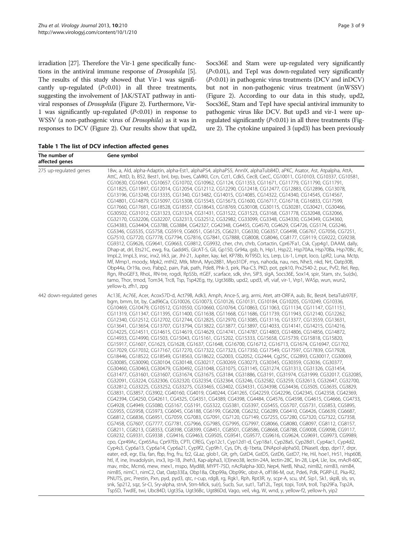<span id="page-2-0"></span>irradiation [\[27](#page-8-0)]. Therefore the Vir-1 gene specifically functions in the antiviral immune response of Drosophila [[5](#page-7-0)]. The results of this study showed that Vir-1 was significantly up-regulated  $(P<0.01)$  in all three treatments, suggesting the involvement of JAK/STAT pathway in antiviral responses of Drosophila (Figure [2](#page-4-0)). Furthermore, Vir-1 was significantly up-regulated  $(P<0.01)$  in response to WSSV (a non-pathogenic virus of Drosophila) as it was in responses to DCV (Figure [2](#page-4-0)). Our results show that upd2, Socs36E and Stam were up-regulated very significantly (P<0.01), and TepI was down-regulated very significantly (P<0.01) in pathogenic virus treatments (DCV and inDCV) but not in non-pathogenic virus treatment (inWSSV) (Figure [2\)](#page-4-0). According to our data in this study, upd2, Socs36E, Stam and TepI have special antiviral immunity to pathogenic virus like DCV. But upd3 and vir-1 were upregulated significantly  $(P<0.01)$  in all three treatments (Figure [2](#page-4-0)). The cytokine unpaired 3 (upd3) has been previously

Table 1 The list of DCV infection affected genes

| The number of<br>affected genes | Gene symbol                                                                                                                                                                                                                                                                                                                                                                                                                                                                                                                                                                                                                                                                                                                                                                                                                                                                                                                                                                                                                                                                                                                                                                                                                                                                                                                                                                                                                                                                                                                                                                                                                                                                                                                                                                                                                                                                                                                                                                                                                                                                                                                                                                                                                                                                                                                                                                                                                                                                                                                                                                                                                                                                                                                                                                                                                                                                                                                                                                                                                                                                                                                                                                                                                                                                                                                                                                                                                                                                                                                                                                                                                                                                                                                                     |
|---------------------------------|-------------------------------------------------------------------------------------------------------------------------------------------------------------------------------------------------------------------------------------------------------------------------------------------------------------------------------------------------------------------------------------------------------------------------------------------------------------------------------------------------------------------------------------------------------------------------------------------------------------------------------------------------------------------------------------------------------------------------------------------------------------------------------------------------------------------------------------------------------------------------------------------------------------------------------------------------------------------------------------------------------------------------------------------------------------------------------------------------------------------------------------------------------------------------------------------------------------------------------------------------------------------------------------------------------------------------------------------------------------------------------------------------------------------------------------------------------------------------------------------------------------------------------------------------------------------------------------------------------------------------------------------------------------------------------------------------------------------------------------------------------------------------------------------------------------------------------------------------------------------------------------------------------------------------------------------------------------------------------------------------------------------------------------------------------------------------------------------------------------------------------------------------------------------------------------------------------------------------------------------------------------------------------------------------------------------------------------------------------------------------------------------------------------------------------------------------------------------------------------------------------------------------------------------------------------------------------------------------------------------------------------------------------------------------------------------------------------------------------------------------------------------------------------------------------------------------------------------------------------------------------------------------------------------------------------------------------------------------------------------------------------------------------------------------------------------------------------------------------------------------------------------------------------------------------------------------------------------------------------------------------------------------------------------------------------------------------------------------------------------------------------------------------------------------------------------------------------------------------------------------------------------------------------------------------------------------------------------------------------------------------------------------------------------------------------------------------------------------------------------------|
| 275 up-regulated genes          | 18w, a, Ald, alpha-Adaptin, alpha-Est1, alphaPS4, alphaPS5, AnnIX, alphaTub84D, aPKC, Asator, Ast, Atpalpha, AttA,<br>AttC, AttD, b, B52, Best1, bnl, brp, bves, CaMKII, Ccn, Cct1, Cdk5, CecB, CecC, CG10011, CG10103, CG10337, CG10581,<br>CG10630, CG10641, CG10657, CG10702, CG10962, CG1124, CG11353, CG11671, CG11779, CG11790, CG11791,<br>CG11825, CG11897, CG12014, CG12054, CG12112, CG12290, CG12418, CG12477, CG12883, CG12896, CG13078,<br>CG13196, CG13248, CG13335, CG1340, CG13482, CG14015, CG14085, CG14322, CG14340, CG14545, CG14567,<br>CG14801, CG14879, CG15097, CG15308, CG15543, CG15673, CG1600, CG16717, CG16718, CG16833, CG17599,<br>CG17660, CG17681, CG18528, CG18557, CG18643, CG18769, CG30108, CG30115, CG30281, CG30421, CG30466,<br>CG30502, CG31012, CG31323, CG31324, CG31431, CG31522, CG31523, CG3168, CG31778, CG32048, CG32066,<br>CG32170, CG32206, CG32207, CG32313, CG32512, CG32982, CG33099, CG3348, CG34330, CG34349, CG34360,<br>CG34383, CG34404, CG3788, CG3884, CG42327, CG42348, CG4455, CG4570, CG4629, CG4726, CG5174, CG5246,<br>CG5346, CG5535, CG5758, CG5919, CG6051, CG6125, CG6231, CG6330, CG6357, CG6498, CG6767, CG7056, CG7251,<br>CG7510, CG7720, CG7778, CG7794, CG7816, CG7841, CG7888, CG8008, CG8046, CG8177, CG9119, CG9222, CG9238,<br>CG9312, CG9626, CG9641, CG9663, CG9812, CG9932, cher, chn, chrb, Cortactin, Cpr67Fa1, Csk, Cyp4q1, DAAM, dally,<br>Dhap-at, drl, Ets21C, ewg, fra, Gadd45, GlcAT-S, Gli, Gp150, Gr94a, gsb, h, Hip1, Hsp22, Hsp70Aa, Hsp70Ba, Hsp70Bc, ifc,<br>ImpL2, ImpL3, insc, inx2, Irk3, jar, JhI-21, Jupiter, kay, kel, KP78b, KrT95D, lcs, Lerp, Lis-1, Lmpt, loco, LpR2, Luna, Mctp,<br>Mf, Mmp1, moody, Mpk2, mthl2, Mtk, MtnA, Myo28B1, Myo31DF, mys, nahoda, nau, nes, Nhe3, nkd, Nrt, Oatp30B,<br>Obp44a, Or19a, ovo, Pabp2, pain, Pak, path, Pde8, Phk-3, pirk, Pka-C3, PKD, pot, ppk10, Prx2540-2, puc, Pvf2, Rel, Rep,<br>Rgn, RhoGEF3, RhoL, RN-tre, rogdi, RpS5b, rtGEF, scarface, sdk, shn, SIP3, slgA, Socs36E, Sox14, spir, Stam, stv, Su(dx),<br>tamo, Thor, tmod, Tom34, Trc8, Tsp, Tsp42Eg, tty, Ugt36Bb, upd2, upd3, vfl, viaf, vir-1, Vrp1, WASp, wun, wun2,<br>yellow-b, zfh1, zpg                                                                                                                                                                                                                                                                                                                                                                                                                                                                                                                                                                                                                                                                                                                                                                                                                                                                                                                                                                                                                                                                                                                                                                                                                                                                                                                                                                                                                                                                                                                                    |
| 442 down-regulated genes        | Ac13E, Ac76E, Acer, Acox57D-d, Act79B, Adk3, Amph, Ance-5, arg, armi, Atet, att-ORFA, aub, Bc, Best4, betaTub97EF,<br>bgm, bmm, bt, by, Cad96Ca, CG10026, CG10073, CG10126, CG10131, CG10184, CG10205, CG10249, CG10336,<br>CG10469, CG10479, CG10512, CG10550, CG10660, CG10764, CG10863, CG11063, CG11134, CG11147, CG11151,<br>CG11319, CG11347, CG11395, CG11400, CG11638, CG11668, CG11686, CG11739, CG11943, CG12140, CG12262,<br>CG12340, CG12512, CG12702, CG12744, CG12825, CG12970, CG13085, CG13116, CG13377, CG13559, CG13631,<br>CG13641, CG13654, CG13707, CG13794, CG13822, CG13877, CG13897, CG14033, CG14141, CG14215, CG14216,<br>CG14225, CG14511, CG14615, CG14619, CG14629, CG14741, CG14787, CG14803, CG14806, CG14856, CG14872,<br>CG14933, CG14990, CG1503, CG15043, CG15161, CG15202, CG15333, CG15658, CG15739, CG15818, CG15820,<br>CG15917, CG1607, CG1623, CG1628, CG1637, CG1648, CG16700, CG16712, CG16713, CG1674, CG16947, CG1702,<br>CG17029, CG17032, CG17167, CG17270, CG17322, CG17323, CG17350, CG17549, CG17597, CG17839, CG17928,<br>CG18446, CG18522, CG18549, CG18563, CG18622, CG2003, CG2052, CG2444, Cq25C, CG2893, CG30017, CG30069,<br>CG30085, CG30090, CG30104, CG30148, CG30217, CG30269, CG30273, CG30345, CG30359, CG3036, CG30377,<br>CG30460, CG30463, CG30479, CG30492, CG31048, CG31075, CG31145, CG31274, CG31313, CG31326, CG31454,<br>CG31477, CG31601, CG31607, CG31674, CG31675, CG3184, CG31886, CG3191, CG31974, CG31999, CG32017, CG32085,<br>CG32091, CG3224, CG32306, CG32320, CG32354, CG32364, CG3246, CG32582, CG3259, CG32613, CG32647, CG32700,<br>CG32812, CG33225, CG33252, CG33275, CG33465, CG3402, CG34331, CG34398, CG34436, CG3505, CG3635, CG3829,<br>CG3831, CG3857, CG3902, CG40160, CG4019, CG40244, CG41265, CG42259, CG42296, CG42345, CG42358, CG42369,<br>CG42394, CG4250, CG42611, CG4325, CG4351, CG4389, CG4398, CG4484, CG4576, CG4598, CG4615, CG4666, CG4733,<br>CG4928, CG4949, CG5080, CG5167, CG5191, CG5322, CG5381, CG5397, CG5455, CG5707, CG5731, CG5853, CG5895,<br>CG5955, CG5958, CG5973, CG6045, CG6188, CG6199, CG6208, CG6232, CG6289, CG6410, CG6426, CG6639, CG6687,<br>CG6812, CG6836, CG6951, CG7059, CG7083, CG7091, CG7120, CG7149, CG7255, CG7280, CG7320, CG7322, CG7358,<br>CG7458, CG7607, CG7777, CG7781, CG7966, CG7985, CG7995, CG7997, CG8066, CG8080, CG8097, CG8112, CG8157,<br>CG8211, CG8213, CG8353, CG8398, CG8399, CG8451, CG8501, CG8586, CG8668, CG8788, CG9008, CG9098, CG9117,<br>CG9232, CG9331, CG9338, CG9416, CG9463, CG9505, CG9541, CG9577, CG9616, CG9624, CG9691, CG9973, CG9989,<br>cpo, Cpr49Ac, Cpr65Au, Cpr97Eb, CPTI, CREG, Cyp12c1, Cyp12d1-d, Cyp18a1, Cyp28a5, Cyp28d1, Cyp4ac1, Cyp4d2,<br>Cyp4s3, Cyp6a13, Cyp6a14, Cyp6a21, Cyp9f2, Cyp9h1, Cys, Dh, dj-1beta, DNApol-alpha50, DNasell, dpp, dpr17, drpr,<br>eater, edl, egr, Ela, fan, fbp, fng, fru, fz2, GLaz, glob1, Glt, grh, GstD4, GstD5, GstD6, GstD7, He, Hil, hoe1, Hr51, Hsp60B,<br>htl, if, ine, Invadolysin, inx3, Irp-1B, Jheh3, Kap-alpha3, I(3)neo38, lectin-24A, lectin-28C, lin-28, Lip4, Lkr, lox, mAcR-60C,<br>may, mbc, Mcm6, mew, mex1, mspo, Myd88, MYPT-75D, nAcRalpha-30D, Nep4, NetB, Nha2, nimB2, nimB3, nimB4,<br>nimB5, nimC1, nimC2, Oat, Oatp33Ea, Obp18a, Obp99a, Obp99c, obst-A, olf186-M, out, Pde6, Pdk, PGRP-LE, Pka-R2,<br>PNUTS, prc, Prestin, Pxn, pyd, pyd3, qtc, r-cup, rdgB, rg, Rgk1, Rph, Rpt3R, ry, scpr-A, scu, shf, Sip1, Sk1, skpB, sls, sn,<br>snk, Sp212, sqz, Sr-Cl, Sry-alpha, stnA, Strn-Mlck, su(r), Sucb, Sur, sut1, Taf12L, Tepl, topi, TotA, troll, Tsp29Fa, Tsp2A,<br>Tsp5D, TwdlE, twi, Ubc84D, Uqt35a, Uqt36Bc, Uqt86Dd, Vago, veil, vkg, W, wnd, y, yellow-f2, yellow-h, yip2 |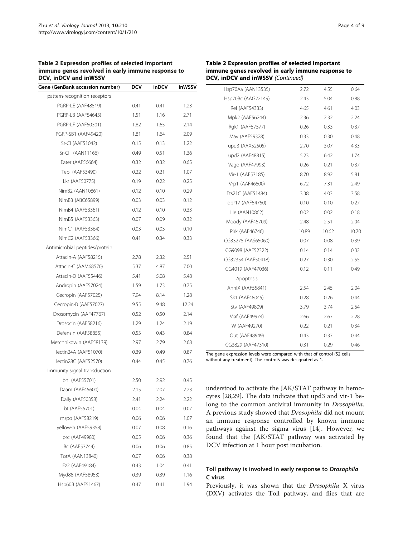#### <span id="page-3-0"></span>Table 2 Expression profiles of selected important immune genes revolved in early immune response to DCV, inDCV and inWSSV

| Gene (GenBank accession number) | DCV  | inDCV | inWSSV |
|---------------------------------|------|-------|--------|
| pattern-recognition receptors   |      |       |        |
| PGRP-LE (AAF48519)              | 0.41 | 0.41  | 1.23   |
| PGRP-LB (AAF54643)              | 1.51 | 1.16  | 2.71   |
| <b>PGRP-LF (AAF50301)</b>       | 1.82 | 1.65  | 2.14   |
| PGRP-SB1 (AAF49420)             | 1.81 | 1.64  | 2.09   |
| Sr-CI (AAF51042)                | 0.15 | 0.13  | 1.22   |
| Sr-CIII (AAN11166)              | 0.49 | 0.51  | 1.36   |
| Eater (AAF56664)                | 0.32 | 0.32  | 0.65   |
| Tepl (AAF53490)                 | 0.22 | 0.21  | 1.07   |
| Lkr (AAF50775)                  | 0.19 | 0.22  | 0.25   |
| NimB2 (AAN10861)                | 0.12 | 0.10  | 0.29   |
| NimB3 (ABC65899)                | 0.03 | 0.03  | 0.12   |
| NimB4 (AAF53361)                | 0.12 | 0.10  | 0.33   |
| NimB5 (AAF53363)                | 0.07 | 0.09  | 0.32   |
| NimC1 (AAF53364)                | 0.03 | 0.03  | 0.10   |
| NimC2 (AAF53366)                | 0.41 | 0.34  | 0.33   |
| Antimicrobial peptides/protein  |      |       |        |
| Attacin-A (AAF58215)            | 2.78 | 2.32  | 2.51   |
| Attacin-C (AAM68570)            | 5.37 | 4.87  | 7.00   |
| Attacin-D (AAF55446)            | 5.41 | 5.08  | 5.48   |
| Andropin (AAF57024)             | 1.59 | 1.73  | 0.75   |
| Cecropin (AAF57025)             | 7.94 | 8.14  | 1.28   |
| Cecropin-B (AAF57027)           | 9.55 | 9.48  | 12.24  |
| Drosomycin (AAF47767)           | 0.52 | 0.50  | 2.14   |
| Drosocin (AAF58216)             | 1.29 | 1.24  | 2.19   |
| Defensin (AAF58855)             | 0.53 | 0.43  | 0.84   |
| Metchnikowin (AAF58139)         | 2.97 | 2.79  | 2.68   |
| lectin24A (AAF51070)            | 0.39 | 0.49  | 0.87   |
| lectin28C (AAF52570)            | 0.44 | 0.45  | 0.76   |
| Immunity signal transduction    |      |       |        |
| bnl (AAF55701)                  | 2.50 | 2.92  | 0.45   |
| Daam (AAF45600)                 | 2.15 | 2.07  | 2.23   |
| Dally (AAF50358)                | 2.41 | 2.24  | 2.22   |
| bt (AAF55701)                   | 0.04 | 0.04  | 0.07   |
| mspo (AAF58219)                 | 0.06 | 0.06  | 1.07   |
| yellow-h (AAF59358)             | 0.07 | 0.08  | 0.16   |
| prc (AAF49980)                  | 0.05 | 0.06  | 0.36   |
| Bc (AAF53744)                   | 0.06 | 0.06  | 0.85   |
| TotA (AAN13840)                 | 0.07 | 0.06  | 0.38   |
| Fz2 (AAF49184)                  | 0.43 | 1.04  | 0.41   |
| Myd88 (AAF58953)                | 0.39 | 0.39  | 1.16   |
| Hsp60B (AAF51467)               | 0.47 | 0.41  | 1.94   |

# Table 2 Expression profiles of selected important immune genes revolved in early immune response to DCV, inDCV and inWSSV (Continued)

| Hsp70Aa (AAN13535) | 2.72  | 4.55  | 0.64  |
|--------------------|-------|-------|-------|
| Hsp70Bc (AAG22149) | 2.43  | 5.04  | 0.88  |
| Rel (AAF54333)     | 4.65  | 4.61  | 4.03  |
| Mpk2 (AAF56244)    | 2.36  | 2.32  | 2.24  |
| Rgk1 (AAF57577)    | 0.26  | 0.33  | 0.37  |
| Mav (AAF59328)     | 0.33  | 0.30  | 0.48  |
| upd3 (AAX52505)    | 2.70  | 3.07  | 4.33  |
| upd2 (AAF48815)    | 5.23  | 6.42  | 1.74  |
| Vago (AAF47993)    | 0.26  | 0.21  | 0.37  |
| Vir-1 (AAF53185)   | 8.70  | 8.92  | 5.81  |
| Vrp1 (AAF46800)    | 6.72  | 7.31  | 2.49  |
| Ets21C (AAF51484)  | 3.38  | 4.03  | 3.58  |
| dpr17 (AAF54750)   | 0.10  | 0.10  | 0.27  |
| He (AAN10862)      | 0.02  | 0.02  | 0.18  |
| Moody (AAF45709)   | 2.48  | 2.51  | 2.04  |
| Pirk (AAF46746)    | 10.89 | 10.62 | 10.70 |
| CG33275 (AAS65060) | 0.07  | 0.08  | 0.39  |
| CG9098 (AAF52322)  | 0.14  | 0.14  | 0.32  |
| CG32354 (AAF50418) | 0.27  | 0.30  | 2.55  |
| CG4019 (AAF47036)  | 0.12  | 0.11  | 0.49  |
| Apoptosis          |       |       |       |
| AnnlX (AAF55841)   | 2.54  | 2.45  | 2.04  |
| Sk1 (AAF48045)     | 0.28  | 0.26  | 0.44  |
| Stv (AAF49809)     | 3.79  | 3.74  | 2.54  |
| Viaf (AAF49974)    | 2.66  | 2.67  | 2.28  |
| W (AAF49270)       | 0.22  | 0.21  | 0.34  |
| Out (AAF48949)     | 0.43  | 0.37  | 0.44  |
| CG3829 (AAF47310)  | 0.31  | 0.29  | 0.46  |

The gene expression levels were compared with that of control (S2 cells without any treatment). The control's was designated as 1.

understood to activate the JAK/STAT pathway in hemocytes [[28,29](#page-8-0)]. The data indicate that upd3 and vir-1 belong to the common antiviral immunity in Drosophila. A previous study showed that Drosophila did not mount an immune response controlled by known immune pathways against the sigma virus [\[14](#page-7-0)]. However, we found that the JAK/STAT pathway was activated by DCV infection at 1 hour post incubation.

# Toll pathway is involved in early response to Drosophila C virus

Previously, it was shown that the Drosophila X virus (DXV) activates the Toll pathway, and flies that are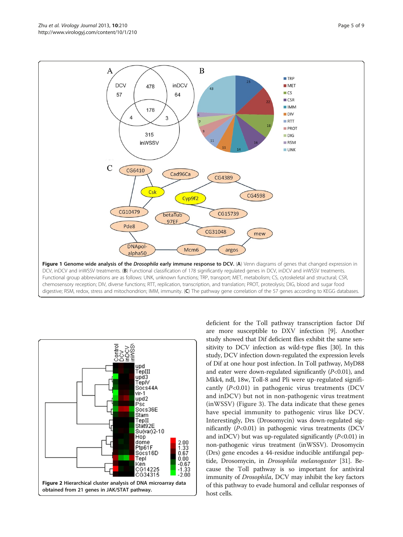digestive; RSM, redox, stress and mitochondrion; IMM, immunity. (C) The pathway gene correlation of the 57 genes according to KEGG databases



deficient for the Toll pathway transcription factor Dif are more susceptible to DXV infection [\[9](#page-7-0)]. Another study showed that Dif deficient flies exhibit the same sensitivity to DCV infection as wild-type flies [\[30](#page-8-0)]. In this study, DCV infection down-regulated the expression levels of Dif at one hour post infection. In Toll pathway, MyD88 and eater were down-regulated significantly  $(P<0.01)$ , and Mkk4, ndl, 18w, Toll-8 and Pli were up-regulated significantly  $(P<0.01)$  in pathogenic virus treatments (DCV and inDCV) but not in non-pathogenic virus treatment (inWSSV) (Figure [3](#page-5-0)). The data indicate that these genes have special immunity to pathogenic virus like DCV. Interestingly, Drs (Drosomycin) was down-regulated significantly  $(P<0.01)$  in pathogenic virus treatments (DCV and inDCV) but was up-regulated significantly  $(P<0.01)$  in non-pathogenic virus treatment (inWSSV). Drosomycin (Drs) gene encodes a 44-residue inducible antifungal peptide, Drosomycin, in Drosophila melanogaster [\[31\]](#page-8-0). Because the Toll pathway is so important for antiviral immunity of Drosophila, DCV may inhibit the key factors of this pathway to evade humoral and cellular responses of host cells.

<span id="page-4-0"></span>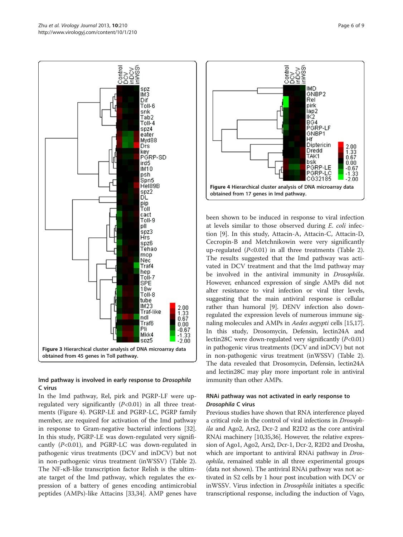<span id="page-5-0"></span>

# Imd pathway is involved in early response to Drosophila C virus

In the Imd pathway, Rel, pirk and PGRP-LF were upregulated very significantly  $(P<0.01)$  in all three treatments (Figure 4). PGRP-LE and PGRP-LC, PGRP family member, are required for activation of the Imd pathway in response to Gram-negative bacterial infections [\[32](#page-8-0)]. In this study, PGRP-LE was down-regulated very significantly  $(P<0.01)$ , and PGRP-LC was down-regulated in pathogenic virus treatments (DCV and inDCV) but not in non-pathogenic virus treatment (inWSSV) (Table [2](#page-3-0)). The NF-κB-like transcription factor Relish is the ultimate target of the Imd pathway, which regulates the expression of a battery of genes encoding antimicrobial peptides (AMPs)-like Attacins [\[33,34\]](#page-8-0). AMP genes have



been shown to be induced in response to viral infection at levels similar to those observed during E. coli infection [\[9](#page-7-0)]. In this study, Attacin-A, Attacin-C, Attacin-D, Cecropin-B and Metchnikowin were very significantly up-regulated  $(P<0.01)$  in all three treatments (Table [2](#page-3-0)). The results suggested that the Imd pathway was activated in DCV treatment and that the Imd pathway may be involved in the antiviral immunity in Drosophila. However, enhanced expression of single AMPs did not alter resistance to viral infection or viral titer levels, suggesting that the main antiviral response is cellular rather than humoral [[9](#page-7-0)]. DENV infection also downregulated the expression levels of numerous immune sig-naling molecules and AMPs in Aedes aegypti cells [\[15,](#page-7-0)[17](#page-8-0)]. In this study, Drosomycin, Defensin, lectin24A and lectin28C were down-regulated very significantly  $(P<0.01)$ in pathogenic virus treatments (DCV and inDCV) but not in non-pathogenic virus treatment (inWSSV) (Table [2](#page-3-0)). The data revealed that Drosomycin, Defensin, lectin24A and lectin28C may play more important role in antiviral immunity than other AMPs.

# RNAi pathway was not activated in early response to Drosophila C virus

Previous studies have shown that RNA interference played a critical role in the control of viral infections in Drosophila and Ago2, Ars2, Dcr-2 and R2D2 as the core antiviral RNAi machinery [\[10,](#page-7-0)[35,36\]](#page-8-0). However, the relative expression of Ago1, Ago2, Ars2, Dcr-1, Dcr-2, R2D2 and Drosha, which are important to antiviral RNAi pathway in Drosophila, remained stable in all three experimental groups (data not shown). The antiviral RNAi pathway was not activated in S2 cells by 1 hour post incubation with DCV or inWSSV. Virus infection in Drosophila initiates a specific transcriptional response, including the induction of Vago,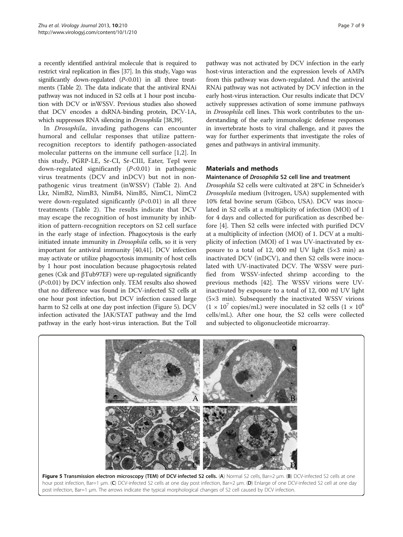a recently identified antiviral molecule that is required to restrict viral replication in flies [\[37\]](#page-8-0). In this study, Vago was significantly down-regulated  $(P<0.01)$  in all three treatments (Table [2\)](#page-3-0). The data indicate that the antiviral RNAi pathway was not induced in S2 cells at 1 hour post incubation with DCV or inWSSV. Previous studies also showed that DCV encodes a dsRNA-binding protein, DCV-1A, which suppresses RNA silencing in Drosophila [[38,39\]](#page-8-0).

In Drosophila, invading pathogens can encounter humoral and cellular responses that utilize patternrecognition receptors to identify pathogen-associated molecular patterns on the immune cell surface [[1,2](#page-7-0)]. In this study, PGRP-LE, Sr-CI, Sr-CIII, Eater, TepI were down-regulated significantly  $(P<0.01)$  in pathogenic virus treatments (DCV and inDCV) but not in nonpathogenic virus treatment (inWSSV) (Table [2](#page-3-0)). And Lkr, NimB2, NimB3, NimB4, NimB5, NimC1, NimC2 were down-regulated significantly  $(P<0.01)$  in all three treatments (Table [2](#page-3-0)). The results indicate that DCV may escape the recognition of host immunity by inhibition of pattern-recognition receptors on S2 cell surface in the early stage of infection. Phagocytosis is the early initiated innate immunity in *Drosophila* cells, so it is very important for antiviral immunity [[40,41\]](#page-8-0). DCV infection may activate or utilize phagocytosis immunity of host cells by 1 hour post inoculation because phagocytosis related genes (Csk and βTub97EF) were up-regulated significantly (P<0.01) by DCV infection only. TEM results also showed that no difference was found in DCV-infected S2 cells at one hour post infection, but DCV infection caused large harm to S2 cells at one day post infection (Figure 5). DCV infection activated the JAK/STAT pathway and the Imd pathway in the early host-virus interaction. But the Toll pathway was not activated by DCV infection in the early host-virus interaction and the expression levels of AMPs from this pathway was down-regulated. And the antiviral RNAi pathway was not activated by DCV infection in the early host-virus interaction. Our results indicate that DCV actively suppresses activation of some immune pathways in Drosophila cell lines. This work contributes to the understanding of the early immunologic defense responses in invertebrate hosts to viral challenge, and it paves the way for further experiments that investigate the roles of genes and pathways in antiviral immunity.

#### Materials and methods

Maintenance of Drosophila S2 cell line and treatment

Drosophila S2 cells were cultivated at 28°C in Schneider's Drosophila medium (Ivitrogen, USA) supplemented with 10% fetal bovine serum (Gibco, USA). DCV was inoculated in S2 cells at a multiplicity of infection (MOI) of 1 for 4 days and collected for purification as described before [[4\]](#page-7-0). Then S2 cells were infected with purified DCV at a multiplicity of infection (MOI) of 1. DCV at a multiplicity of infection (MOI) of 1 was UV-inactivated by exposure to a total of 12, 000 mJ UV light (5×3 min) as inactivated DCV (inDCV), and then S2 cells were inoculated with UV-inactivated DCV. The WSSV were purified from WSSV-infected shrimp according to the previous methods [[42\]](#page-8-0). The WSSV virions were UVinactivated by exposure to a total of 12, 000 mJ UV light (5×3 min). Subsequently the inactivated WSSV virions  $(1 \times 10^7 \text{ copies/mL})$  were inoculated in S2 cells  $(1 \times 10^6 \text{ s})$ cells/mL). After one hour, the S2 cells were collected and subjected to oligonucleotide microarray.

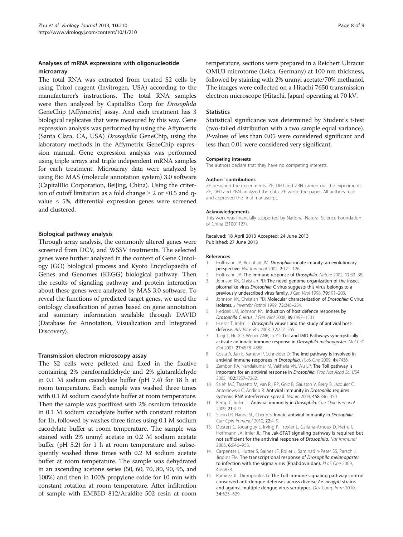#### <span id="page-7-0"></span>Analyses of mRNA expressions with oligonucleotide microarray

The total RNA was extracted from treated S2 cells by using Trizol reagent (Invitrogen, USA) according to the manufacturer's instructions. The total RNA samples were then analyzed by CapitalBio Corp for Drosophila GeneChip (Affymetrix) assay. And each treatment has 3 biological replicates that were measured by this way. Gene expression analysis was performed by using the Affymetrix (Santa Clara, CA, USA) Drosophila GeneChip, using the laboratory methods in the Affymetrix GeneChip expression manual. Gene expression analysis was performed using triple arrays and triple independent mRNA samples for each treatment. Microarray data were analyzed by using Bio MAS (molecule annotation system) 3.0 software (CapitalBio Corporation, Beijing, China). Using the criterion of cutoff limitation as a fold change ≥ 2 or ≤0.5 and qvalue ≤ 5%, differential expression genes were screened and clustered.

#### Biological pathway analysis

Through array analysis, the commonly altered genes were screened from DCV, and WSSV treatments. The selected genes were further analyzed in the context of Gene Ontology (GO) biological process and Kyoto Encyclopaedia of Genes and Genomes (KEGG) biological pathway. Then the results of signaling pathway and protein interaction about these genes were analyzed by MAS 3.0 software. To reveal the functions of predicted target genes, we used the ontology classification of genes based on gene annotation and summary information available through DAVID (Database for Annotation, Visualization and Integrated Discovery).

#### Transmission electron microscopy assay

The S2 cells were pelleted and fixed in the fixative containing 2% paraformaldehyde and 2% glutaraldehyde in 0.1 M sodium cacodylate buffer (pH 7.4) for 18 h at room temperature. Each sample was washed three times with 0.1 M sodium cacodylate buffer at room temperature. Then the sample was postfixed with 2% osmium tetroxide in 0.1 M sodium cacodylate buffer with constant rotation for 1h, followed by washes three times using 0.1 M sodium cacodylate buffer at room temperature. The sample was stained with 2% uranyl acetate in 0.2 M sodium acetate buffer (pH 5.2) for 1 h at room temperature and subsequently washed three times with 0.2 M sodium acetate buffer at room temperature. The sample was dehydrated in an ascending acetone series (50, 60, 70, 80, 90, 95, and 100%) and then in 100% propylene oxide for 10 min with constant rotation at room temperature. After infiltration of sample with EMBED 812/Araldite 502 resin at room

temperature, sections were prepared in a Reichert Ultracut OMU3 microtome (Leica, Germany) at 100 nm thickness, followed by staining with 2% uranyl acetate/70% methanol. The images were collected on a Hitachi 7650 transmission electron microscope (Hitachi, Japan) operating at 70 kV.

#### **Statistics**

Statistical significance was determined by Student's t-test (two-tailed distribution with a two sample equal variance). P-values of less than 0.05 were considered significant and less than 0.01 were considered very significant.

#### Competing interests

The authors declare that they have no competing interests.

#### Authors' contributions

ZF designed the experiments. ZF, DHJ and ZBN carried out the experiments. ZF, DHJ and ZBN analyzed the data, ZF wrote the paper. All authors read and approved the final manuscript.

#### Acknowledgements

This work was financially supported by National Natural Science Foundation of China (31001127).

Received: 18 April 2013 Accepted: 24 June 2013 Published: 27 June 2013

#### References

- Hoffmann JA, Reichhart JM: Drosophila innate imunity: an evolutionary perspective. Nat Immunol 2002, 2:121–126.
- 2. Hoffmann JA: The immune response of Drosophila. Nature 2002, 12:33-38.
- 3. Johnson KN, Christian PD: The novel genome organization of the insect picornalike virus Drosophila C virus suggests this virus belongs to a previously undescribed virus family. J Gen Virol 1998, 79:191-203.
- 4. Johnson KN, Christian PD: Molecular characterization of Drosophila C virus isolates. J Invertebr Pathol 1999, 73:248–254.
- 5. Hedges LM, Johnson KN: Induction of host defence responses by Drosophila C virus. J Gen Virol 2008, 89:1497–1501.
- 6. Huszar T, Imler JL: Drosophila viruses and the study of antiviral hostdefense. Adv Virus Res 2008, 72:227–265.
- 7. Tanji T, Hu XD, Weber ANR, Ip YT: Toll and IMD Pathways synergistically activate an innate immune response in Drosophila melanogaster. Mol Cell Biol 2007, 27:4578–4588.
- 8. Costa A, Jan E, Sarnow P, Schneider D: The Imd pathway is involved in antiviral immune responses in Drosophila. PLoS One 2009, 4:e7436.
- 9. Zambon RA, Nandakumar M, Vakharia VN, Wu LP: The Toll pathway is important for an antiviral response in Drosophila. Proc Nat Acad Sci USA 2005, 102:7257–7262.
- 10. Saleh MC, Tassetto M, Van Rij RP, Goic B, Gausson V, Berry B, Jacquier C, Antoniewski C, Andino R: Antiviral immunity in Drosophila requires systemic RNA interference spread. Nature 2009, 458:346–350.
- 11. Kemp C, Imler JL: Antiviral immunity in Drosophila. Curr Opin Immunol 2009, 21:3–9.
- 12. Sabin LR, Hanna SL, Cherry S: Innate antiviral immunity in Drosophila. Curr Opin Immunol 2010, 22:4–9.
- 13. Dostert C, Jouanguy E, Irving P, Troxler L, Galiana-Arnoux D, Hetru C, Hoffmann JA, Imler JL: The Jak-STAT signaling pathway is required but not sufficient for the antiviral response of Drosophila. Nat Immunol 2005, 6:946–953.
- 14. Carpenter J, Hutter S, Baines JF, Roller J, Saminadin-Peter SS, Parsch J, Jiggins FM: The transcriptional response of Drosophila melanogaster to infection with the sigma virus (Rhabdoviridae). PLoS One 2009, 4:e6838.
- 15. Ramirez JL, Dimopoulos G: The Toll immune signaling pathway control conserved anti-dengue defenses across diverse Ae. aegypti strains and against multiple dengue virus serotypes. Dev Comp Imm 2010, 34:625–629.